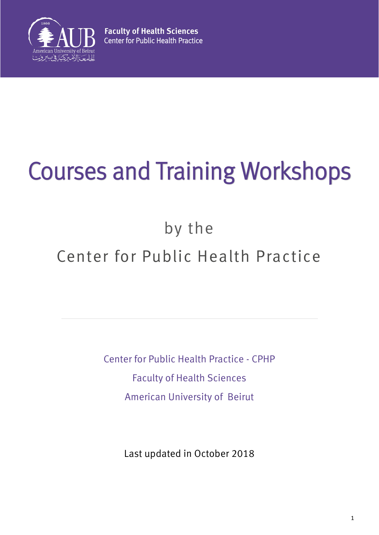

# Courses and Training Workshops

# by the

# Center for Public Health Practice

Center for Public Health Practice - CPHP Faculty of Health Sciences American University of Beirut

Last updated in October 2018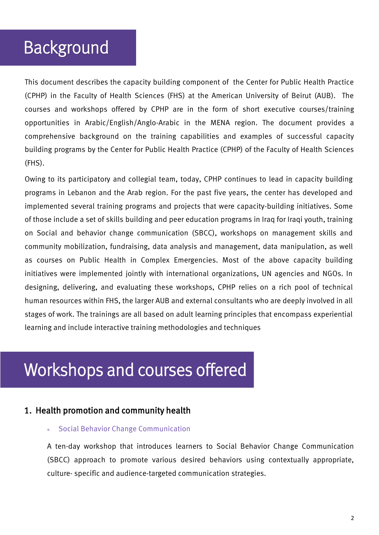# Background

This document describes the capacity building component of the Center for Public Health Practice (CPHP) in the Faculty of Health Sciences (FHS) at the American University of Beirut (AUB). The courses and workshops offered by CPHP are in the form of short executive courses/training opportunities in Arabic/English/Anglo-Arabic in the MENA region. The document provides a comprehensive background on the training capabilities and examples of successful capacity building programs by the Center for Public Health Practice (CPHP) of the Faculty of Health Sciences (FHS).

Owing to its participatory and collegial team, today, CPHP continues to lead in capacity building programs in Lebanon and the Arab region. For the past five years, the center has developed and implemented several training programs and projects that were capacity-building initiatives. Some of those include a set of skills building and peer education programs in Iraq for Iraqi youth, training on Social and behavior change communication (SBCC), workshops on management skills and community mobilization, fundraising, data analysis and management, data manipulation, as well as courses on Public Health in Complex Emergencies. Most of the above capacity building initiatives were implemented jointly with international organizations, UN agencies and NGOs. In designing, delivering, and evaluating these workshops, CPHP relies on a rich pool of technical human resources within FHS, the larger AUB and external consultants who are deeply involved in all stages of work. The trainings are all based on adult learning principles that encompass experiential learning and include interactive training methodologies and techniques

# Workshops and courses offered

### 1. Health promotion and community health

#### » Social Behavior Change Communication

A ten-day workshop that introduces learners to Social Behavior Change Communication (SBCC) approach to promote various desired behaviors using contextually appropriate, culture- specific and audience-targeted communication strategies.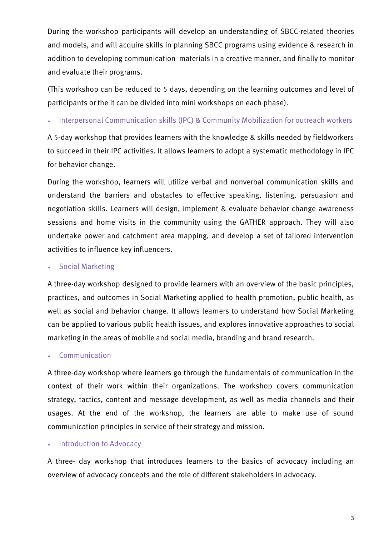During the workshop participants will develop an understanding of SBCC-related theories and models, and will acquire skills in planning SBCC programs using evidence & research in addition to developing communication materials in a creative manner, and finally to monitor and evaluate their programs.

(This workshop can be reduced to 5 days, depending on the learning outcomes and level of participants or the it can be divided into mini workshops on each phase).

» Interpersonal Communication skills (IPC) & Community Mobilization for outreach workers

A 5-day workshop that provides learners with the knowledge & skills needed by fieldworkers to succeed in their IPC activities. It allows learners to adopt a systematic methodology in IPC for behavior change.

During the workshop, learners will utilize verbal and nonverbal communication skills and understand the barriers and obstacles to effective speaking, listening, persuasion and negotiation skills. Learners will design, implement & evaluate behavior change awareness sessions and home visits in the community using the GATHER approach. They will also undertake power and catchment area mapping, and develop a set of tailored intervention activities to influence key influencers.

#### » Social Marketing

A three-day workshop designed to provide learners with an overview of the basic principles, practices, and outcomes in Social Marketing applied to health promotion, public health, as well as social and behavior change. It allows learners to understand how Social Marketing can be applied to various public health issues, and explores innovative approaches to social marketing in the areas of mobile and social media, branding and brand research.

#### **Communication**

A three-day workshop where learners go through the fundamentals of communication in the context of their work within their organizations. The workshop covers communication strategy, tactics, content and message development, as well as media channels and their usages. At the end of the workshop, the learners are able to make use of sound communication principles in service of their strategy and mission.

#### » Introduction to Advocacy

A three- day workshop that introduces learners to the basics of advocacy including an overview of advocacy concepts and the role of different stakeholders in advocacy.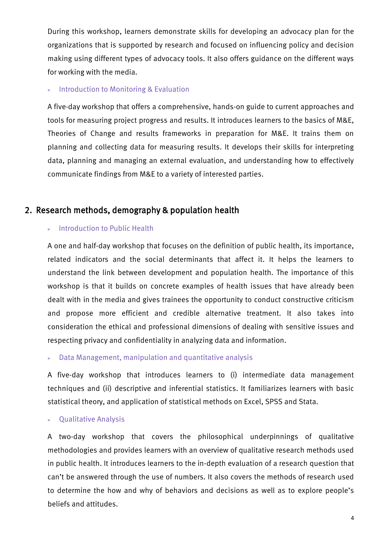During this workshop, learners demonstrate skills for developing an advocacy plan for the organizations that is supported by research and focused on influencing policy and decision making using different types of advocacy tools. It also offers guidance on the different ways for working with the media.

#### » Introduction to Monitoring & Evaluation

A five-day workshop that offers a comprehensive, hands-on guide to current approaches and tools for measuring project progress and results. It introduces learners to the basics of M&E, Theories of Change and results frameworks in preparation for M&E. It trains them on planning and collecting data for measuring results. It develops their skills for interpreting data, planning and managing an external evaluation, and understanding how to effectively communicate findings from M&E to a variety of interested parties.

### 2. Research methods, demography & population health

#### » Introduction to Public Health

A one and half-day workshop that focuses on the definition of public health, its importance, related indicators and the social determinants that affect it. It helps the learners to understand the link between development and population health. The importance of this workshop is that it builds on concrete examples of health issues that have already been dealt with in the media and gives trainees the opportunity to conduct constructive criticism and propose more efficient and credible alternative treatment. It also takes into consideration the ethical and professional dimensions of dealing with sensitive issues and respecting privacy and confidentiality in analyzing data and information.

» Data Management, manipulation and quantitative analysis

A five-day workshop that introduces learners to (i) intermediate data management techniques and (ii) descriptive and inferential statistics. It familiarizes learners with basic statistical theory, and application of statistical methods on Excel, SPSS and Stata.

#### » Qualitative Analysis

A two-day workshop that covers the philosophical underpinnings of qualitative methodologies and provides learners with an overview of qualitative research methods used in public health. It introduces learners to the in-depth evaluation of a research question that can't be answered through the use of numbers. It also covers the methods of research used to determine the how and why of behaviors and decisions as well as to explore people's beliefs and attitudes.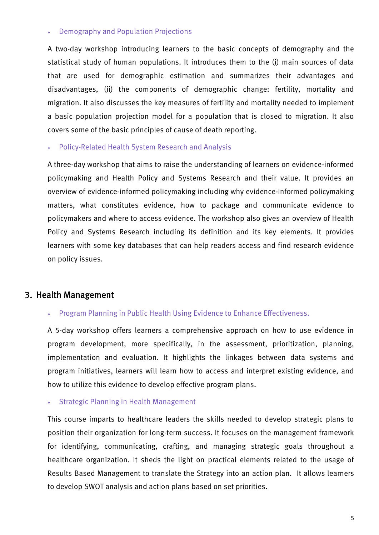#### » Demography and Population Projections

A two-day workshop introducing learners to the basic concepts of demography and the statistical study of human populations. It introduces them to the (i) main sources of data that are used for demographic estimation and summarizes their advantages and disadvantages, (ii) the components of demographic change: fertility, mortality and migration. It also discusses the key measures of fertility and mortality needed to implement a basic population projection model for a population that is closed to migration. It also covers some of the basic principles of cause of death reporting.

» Policy-Related Health System Research and Analysis

A three-day workshop that aims to raise the understanding of learners on evidence-informed policymaking and Health Policy and Systems Research and their value. It provides an overview of evidence-informed policymaking including why evidence-informed policymaking matters, what constitutes evidence, how to package and communicate evidence to policymakers and where to access evidence. The workshop also gives an overview of Health Policy and Systems Research including its definition and its key elements. It provides learners with some key databases that can help readers access and find research evidence on policy issues.

#### 3. Health Management

#### » Program Planning in Public Health Using Evidence to Enhance Effectiveness.

A 5-day workshop offers learners a comprehensive approach on how to use evidence in program development, more specifically, in the assessment, prioritization, planning, implementation and evaluation. It highlights the linkages between data systems and program initiatives, learners will learn how to access and interpret existing evidence, and how to utilize this evidence to develop effective program plans.

#### » Strategic Planning in Health Management

This course imparts to healthcare leaders the skills needed to develop strategic plans to position their organization for long-term success. It focuses on the management framework for identifying, communicating, crafting, and managing strategic goals throughout a healthcare organization. It sheds the light on practical elements related to the usage of Results Based Management to translate the Strategy into an action plan. It allows learners to develop SWOT analysis and action plans based on set priorities.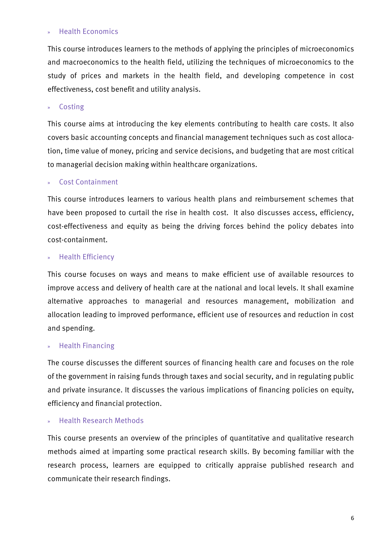#### » Health Economics

This course introduces learners to the methods of applying the principles of microeconomics and macroeconomics to the health field, utilizing the techniques of microeconomics to the study of prices and markets in the health field, and developing competence in cost effectiveness, cost benefit and utility analysis.

» Costing

This course aims at introducing the key elements contributing to health care costs. It also covers basic accounting concepts and financial management techniques such as cost allocation, time value of money, pricing and service decisions, and budgeting that are most critical to managerial decision making within healthcare organizations.

#### » Cost Containment

This course introduces learners to various health plans and reimbursement schemes that have been proposed to curtail the rise in health cost. It also discusses access, efficiency, cost-effectiveness and equity as being the driving forces behind the policy debates into cost-containment.

#### » Health Efficiency

This course focuses on ways and means to make efficient use of available resources to improve access and delivery of health care at the national and local levels. It shall examine alternative approaches to managerial and resources management, mobilization and allocation leading to improved performance, efficient use of resources and reduction in cost and spending.

#### » Health Financing

The course discusses the different sources of financing health care and focuses on the role of the government in raising funds through taxes and social security, and in regulating public and private insurance. It discusses the various implications of financing policies on equity, efficiency and financial protection.

#### » Health Research Methods

This course presents an overview of the principles of quantitative and qualitative research methods aimed at imparting some practical research skills. By becoming familiar with the research process, learners are equipped to critically appraise published research and communicate their research findings.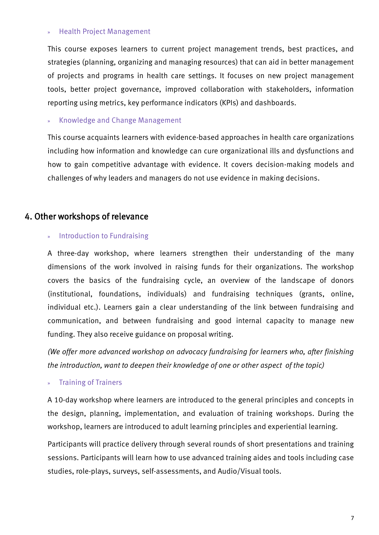#### » Health Project Management

This course exposes learners to current project management trends, best practices, and strategies (planning, organizing and managing resources) that can aid in better management of projects and programs in health care settings. It focuses on new project management tools, better project governance, improved collaboration with stakeholders, information reporting using metrics, key performance indicators (KPIs) and dashboards.

» Knowledge and Change Management

This course acquaints learners with evidence-based approaches in health care organizations including how information and knowledge can cure organizational ills and dysfunctions and how to gain competitive advantage with evidence. It covers decision-making models and challenges of why leaders and managers do not use evidence in making decisions.

### 4. Other workshops of relevance

#### » Introduction to Fundraising

A three-day workshop, where learners strengthen their understanding of the many dimensions of the work involved in raising funds for their organizations. The workshop covers the basics of the fundraising cycle, an overview of the landscape of donors (institutional, foundations, individuals) and fundraising techniques (grants, online, individual etc.). Learners gain a clear understanding of the link between fundraising and communication, and between fundraising and good internal capacity to manage new funding. They also receive guidance on proposal writing.

*(We offer more advanced workshop on advocacy fundraising for learners who, after finishing the introduction, want to deepen their knowledge of one or other aspect of the topic)* 

#### » Training of Trainers

A 10-day workshop where learners are introduced to the general principles and concepts in the design, planning, implementation, and evaluation of training workshops. During the workshop, learners are introduced to adult learning principles and experiential learning.

Participants will practice delivery through several rounds of short presentations and training sessions. Participants will learn how to use advanced training aides and tools including case studies, role-plays, surveys, self-assessments, and Audio/Visual tools.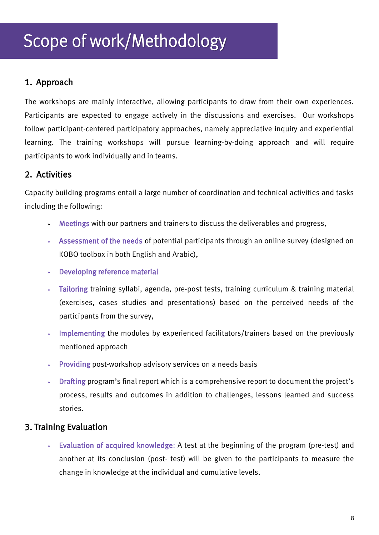# Scope of work/Methodology

### 1. Approach

The workshops are mainly interactive, allowing participants to draw from their own experiences. Participants are expected to engage actively in the discussions and exercises. Our workshops follow participant-centered participatory approaches, namely appreciative inquiry and experiential learning. The training workshops will pursue learning-by-doing approach and will require participants to work individually and in teams.

### 2. Activities

Capacity building programs entail a large number of coordination and technical activities and tasks including the following:

- » Meetings with our partners and trainers to discuss the deliverables and progress,
- » Assessment of the needs of potential participants through an online survey (designed on KOBO toolbox in both English and Arabic),
- » Developing reference material
- » Tailoring training syllabi, agenda, pre-post tests, training curriculum & training material (exercises, cases studies and presentations) based on the perceived needs of the participants from the survey,
- » Implementing the modules by experienced facilitators/trainers based on the previously mentioned approach
- » Providing post-workshop advisory services on a needs basis
- » Drafting program's final report which is a comprehensive report to document the project's process, results and outcomes in addition to challenges, lessons learned and success stories.

### 3. Training Evaluation

» Evaluation of acquired knowledge: A test at the beginning of the program (pre-test) and another at its conclusion (post- test) will be given to the participants to measure the change in knowledge at the individual and cumulative levels.